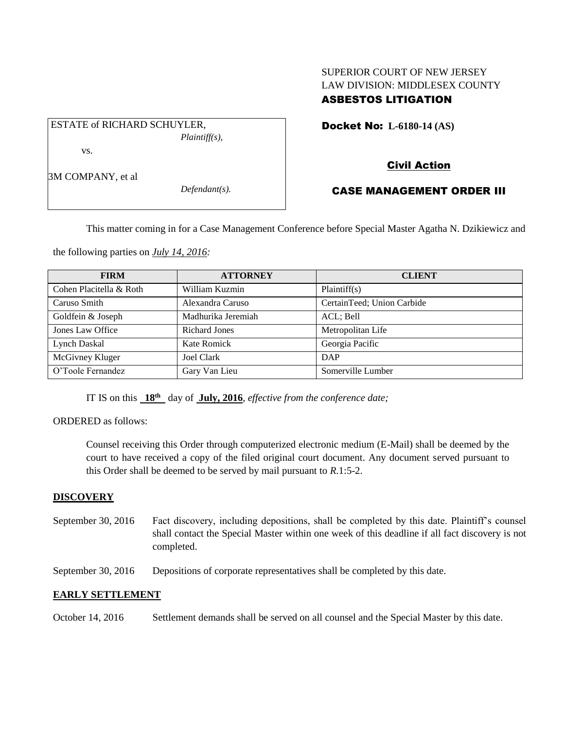# SUPERIOR COURT OF NEW JERSEY LAW DIVISION: MIDDLESEX COUNTY ASBESTOS LITIGATION

Docket No: **L-6180-14 (AS)** 

ESTATE of RICHARD SCHUYLER, *Plaintiff(s),* vs.

3M COMPANY, et al

*Defendant(s).*

# Civil Action

# CASE MANAGEMENT ORDER III

This matter coming in for a Case Management Conference before Special Master Agatha N. Dzikiewicz and

the following parties on *July 14, 2016:*

| <b>FIRM</b>             | <b>ATTORNEY</b>      | <b>CLIENT</b>              |
|-------------------------|----------------------|----------------------------|
| Cohen Placitella & Roth | William Kuzmin       | Plaintiff(s)               |
| Caruso Smith            | Alexandra Caruso     | CertainTeed; Union Carbide |
| Goldfein & Joseph       | Madhurika Jeremiah   | ACL; Bell                  |
| Jones Law Office        | <b>Richard Jones</b> | Metropolitan Life          |
| Lynch Daskal            | Kate Romick          | Georgia Pacific            |
| McGivney Kluger         | Joel Clark           | DAP                        |
| O'Toole Fernandez       | Gary Van Lieu        | Somerville Lumber          |

IT IS on this  $18^{th}$  day of July, 2016, *effective from the conference date*;

ORDERED as follows:

Counsel receiving this Order through computerized electronic medium (E-Mail) shall be deemed by the court to have received a copy of the filed original court document. Any document served pursuant to this Order shall be deemed to be served by mail pursuant to *R*.1:5-2.

# **DISCOVERY**

- September 30, 2016 Fact discovery, including depositions, shall be completed by this date. Plaintiff's counsel shall contact the Special Master within one week of this deadline if all fact discovery is not completed.
- September 30, 2016 Depositions of corporate representatives shall be completed by this date.

# **EARLY SETTLEMENT**

October 14, 2016 Settlement demands shall be served on all counsel and the Special Master by this date.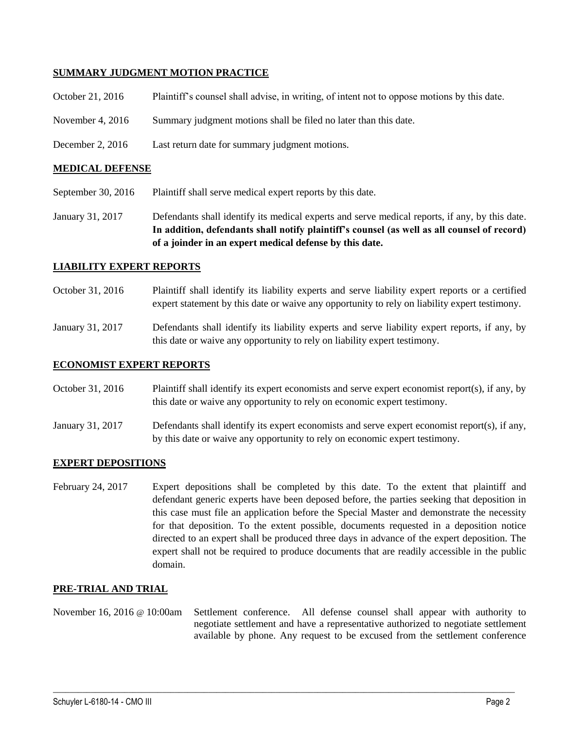## **SUMMARY JUDGMENT MOTION PRACTICE**

| October 21, 2016   | Plaintiff's counsel shall advise, in writing, of intent not to oppose motions by this date. |
|--------------------|---------------------------------------------------------------------------------------------|
| November 4, $2016$ | Summary judgment motions shall be filed no later than this date.                            |
| December 2, $2016$ | Last return date for summary judgment motions.                                              |

### **MEDICAL DEFENSE**

September 30, 2016 Plaintiff shall serve medical expert reports by this date.

January 31, 2017 Defendants shall identify its medical experts and serve medical reports, if any, by this date. **In addition, defendants shall notify plaintiff's counsel (as well as all counsel of record) of a joinder in an expert medical defense by this date.**

#### **LIABILITY EXPERT REPORTS**

- October 31, 2016 Plaintiff shall identify its liability experts and serve liability expert reports or a certified expert statement by this date or waive any opportunity to rely on liability expert testimony.
- January 31, 2017 Defendants shall identify its liability experts and serve liability expert reports, if any, by this date or waive any opportunity to rely on liability expert testimony.

#### **ECONOMIST EXPERT REPORTS**

October 31, 2016 Plaintiff shall identify its expert economists and serve expert economist report(s), if any, by this date or waive any opportunity to rely on economic expert testimony.

January 31, 2017 Defendants shall identify its expert economists and serve expert economist report(s), if any, by this date or waive any opportunity to rely on economic expert testimony.

#### **EXPERT DEPOSITIONS**

February 24, 2017 Expert depositions shall be completed by this date. To the extent that plaintiff and defendant generic experts have been deposed before, the parties seeking that deposition in this case must file an application before the Special Master and demonstrate the necessity for that deposition. To the extent possible, documents requested in a deposition notice directed to an expert shall be produced three days in advance of the expert deposition. The expert shall not be required to produce documents that are readily accessible in the public domain.

#### **PRE-TRIAL AND TRIAL**

November 16, 2016 @ 10:00am Settlement conference. All defense counsel shall appear with authority to negotiate settlement and have a representative authorized to negotiate settlement available by phone. Any request to be excused from the settlement conference

 $\_$  , and the set of the set of the set of the set of the set of the set of the set of the set of the set of the set of the set of the set of the set of the set of the set of the set of the set of the set of the set of th